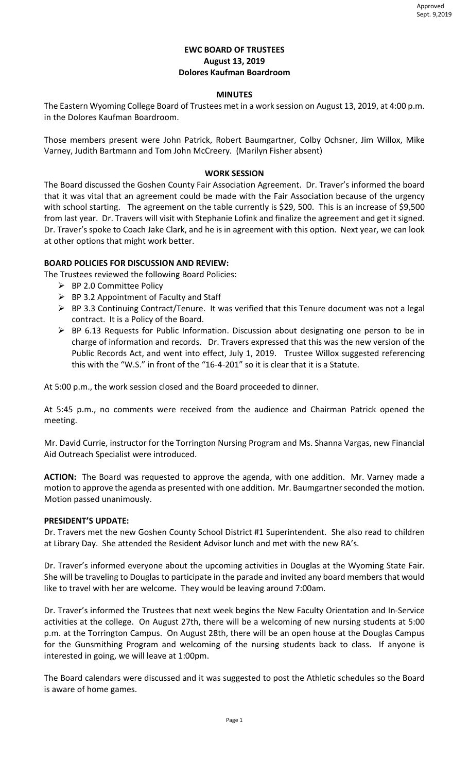# **EWC BOARD OF TRUSTEES August 13, 2019 Dolores Kaufman Boardroom**

### **MINUTES**

The Eastern Wyoming College Board of Trustees met in a work session on August 13, 2019, at 4:00 p.m. in the Dolores Kaufman Boardroom.

Those members present were John Patrick, Robert Baumgartner, Colby Ochsner, Jim Willox, Mike Varney, Judith Bartmann and Tom John McCreery. (Marilyn Fisher absent)

# **WORK SESSION**

The Board discussed the Goshen County Fair Association Agreement. Dr. Traver's informed the board that it was vital that an agreement could be made with the Fair Association because of the urgency with school starting. The agreement on the table currently is \$29, 500. This is an increase of \$9,500 from last year. Dr. Travers will visit with Stephanie Lofink and finalize the agreement and get it signed. Dr. Traver's spoke to Coach Jake Clark, and he is in agreement with this option. Next year, we can look at other options that might work better.

# **BOARD POLICIES FOR DISCUSSION AND REVIEW:**

The Trustees reviewed the following Board Policies:

- $\triangleright$  BP 2.0 Committee Policy
- $\triangleright$  BP 3.2 Appointment of Faculty and Staff
- BP 3.3 Continuing Contract/Tenure. It was verified that this Tenure document was not a legal contract. It is a Policy of the Board.
- BP 6.13 Requests for Public Information. Discussion about designating one person to be in charge of information and records. Dr. Travers expressed that this was the new version of the Public Records Act, and went into effect, July 1, 2019. Trustee Willox suggested referencing this with the "W.S." in front of the "16-4-201" so it is clear that it is a Statute.

At 5:00 p.m., the work session closed and the Board proceeded to dinner.

At 5:45 p.m., no comments were received from the audience and Chairman Patrick opened the meeting.

Mr. David Currie, instructor for the Torrington Nursing Program and Ms. Shanna Vargas, new Financial Aid Outreach Specialist were introduced.

**ACTION:** The Board was requested to approve the agenda, with one addition. Mr. Varney made a motion to approve the agenda as presented with one addition. Mr. Baumgartner seconded the motion. Motion passed unanimously.

# **PRESIDENT'S UPDATE:**

Dr. Travers met the new Goshen County School District #1 Superintendent. She also read to children at Library Day. She attended the Resident Advisor lunch and met with the new RA's.

Dr. Traver's informed everyone about the upcoming activities in Douglas at the Wyoming State Fair. She will be traveling to Douglas to participate in the parade and invited any board members that would like to travel with her are welcome. They would be leaving around 7:00am.

Dr. Traver's informed the Trustees that next week begins the New Faculty Orientation and In-Service activities at the college. On August 27th, there will be a welcoming of new nursing students at 5:00 p.m. at the Torrington Campus. On August 28th, there will be an open house at the Douglas Campus for the Gunsmithing Program and welcoming of the nursing students back to class. If anyone is interested in going, we will leave at 1:00pm.

The Board calendars were discussed and it was suggested to post the Athletic schedules so the Board is aware of home games.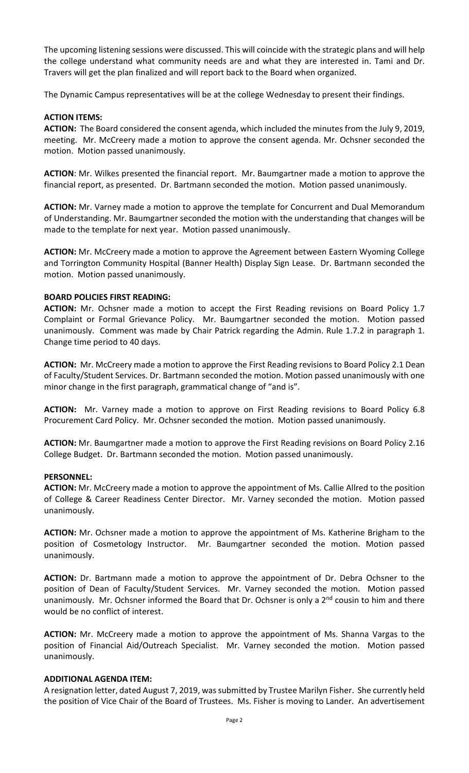The upcoming listening sessions were discussed. This will coincide with the strategic plans and will help the college understand what community needs are and what they are interested in. Tami and Dr. Travers will get the plan finalized and will report back to the Board when organized.

The Dynamic Campus representatives will be at the college Wednesday to present their findings.

# **ACTION ITEMS:**

**ACTION:** The Board considered the consent agenda, which included the minutes from the July 9, 2019, meeting. Mr. McCreery made a motion to approve the consent agenda. Mr. Ochsner seconded the motion. Motion passed unanimously.

**ACTION**: Mr. Wilkes presented the financial report. Mr. Baumgartner made a motion to approve the financial report, as presented. Dr. Bartmann seconded the motion. Motion passed unanimously.

**ACTION:** Mr. Varney made a motion to approve the template for Concurrent and Dual Memorandum of Understanding. Mr. Baumgartner seconded the motion with the understanding that changes will be made to the template for next year. Motion passed unanimously.

**ACTION:** Mr. McCreery made a motion to approve the Agreement between Eastern Wyoming College and Torrington Community Hospital (Banner Health) Display Sign Lease. Dr. Bartmann seconded the motion. Motion passed unanimously.

### **BOARD POLICIES FIRST READING:**

**ACTION:** Mr. Ochsner made a motion to accept the First Reading revisions on Board Policy 1.7 Complaint or Formal Grievance Policy. Mr. Baumgartner seconded the motion. Motion passed unanimously. Comment was made by Chair Patrick regarding the Admin. Rule 1.7.2 in paragraph 1. Change time period to 40 days.

**ACTION:** Mr. McCreery made a motion to approve the First Reading revisions to Board Policy 2.1 Dean of Faculty/Student Services. Dr. Bartmann seconded the motion. Motion passed unanimously with one minor change in the first paragraph, grammatical change of "and is".

**ACTION:** Mr. Varney made a motion to approve on First Reading revisions to Board Policy 6.8 Procurement Card Policy. Mr. Ochsner seconded the motion. Motion passed unanimously.

**ACTION:** Mr. Baumgartner made a motion to approve the First Reading revisions on Board Policy 2.16 College Budget. Dr. Bartmann seconded the motion. Motion passed unanimously.

#### **PERSONNEL:**

**ACTION:** Mr. McCreery made a motion to approve the appointment of Ms. Callie Allred to the position of College & Career Readiness Center Director. Mr. Varney seconded the motion. Motion passed unanimously.

**ACTION:** Mr. Ochsner made a motion to approve the appointment of Ms. Katherine Brigham to the position of Cosmetology Instructor. Mr. Baumgartner seconded the motion. Motion passed unanimously.

**ACTION:** Dr. Bartmann made a motion to approve the appointment of Dr. Debra Ochsner to the position of Dean of Faculty/Student Services. Mr. Varney seconded the motion. Motion passed unanimously. Mr. Ochsner informed the Board that Dr. Ochsner is only a  $2^{nd}$  cousin to him and there would be no conflict of interest.

**ACTION:** Mr. McCreery made a motion to approve the appointment of Ms. Shanna Vargas to the position of Financial Aid/Outreach Specialist. Mr. Varney seconded the motion. Motion passed unanimously.

#### **ADDITIONAL AGENDA ITEM:**

A resignation letter, dated August 7, 2019, was submitted by Trustee Marilyn Fisher. She currently held the position of Vice Chair of the Board of Trustees. Ms. Fisher is moving to Lander. An advertisement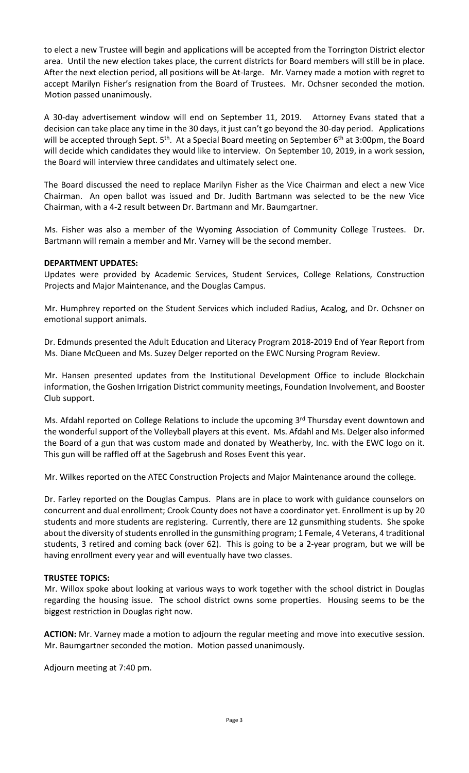to elect a new Trustee will begin and applications will be accepted from the Torrington District elector area. Until the new election takes place, the current districts for Board members will still be in place. After the next election period, all positions will be At-large. Mr. Varney made a motion with regret to accept Marilyn Fisher's resignation from the Board of Trustees. Mr. Ochsner seconded the motion. Motion passed unanimously.

A 30-day advertisement window will end on September 11, 2019. Attorney Evans stated that a decision can take place any time in the 30 days, it just can't go beyond the 30-day period. Applications will be accepted through Sept.  $5<sup>th</sup>$ . At a Special Board meeting on September  $6<sup>th</sup>$  at 3:00pm, the Board will decide which candidates they would like to interview. On September 10, 2019, in a work session, the Board will interview three candidates and ultimately select one.

The Board discussed the need to replace Marilyn Fisher as the Vice Chairman and elect a new Vice Chairman. An open ballot was issued and Dr. Judith Bartmann was selected to be the new Vice Chairman, with a 4-2 result between Dr. Bartmann and Mr. Baumgartner.

Ms. Fisher was also a member of the Wyoming Association of Community College Trustees. Dr. Bartmann will remain a member and Mr. Varney will be the second member.

# **DEPARTMENT UPDATES:**

Updates were provided by Academic Services, Student Services, College Relations, Construction Projects and Major Maintenance, and the Douglas Campus.

Mr. Humphrey reported on the Student Services which included Radius, Acalog, and Dr. Ochsner on emotional support animals.

Dr. Edmunds presented the Adult Education and Literacy Program 2018-2019 End of Year Report from Ms. Diane McQueen and Ms. Suzey Delger reported on the EWC Nursing Program Review.

Mr. Hansen presented updates from the Institutional Development Office to include Blockchain information, the Goshen Irrigation District community meetings, Foundation Involvement, and Booster Club support.

Ms. Afdahl reported on College Relations to include the upcoming 3<sup>rd</sup> Thursday event downtown and the wonderful support of the Volleyball players at this event. Ms. Afdahl and Ms. Delger also informed the Board of a gun that was custom made and donated by Weatherby, Inc. with the EWC logo on it. This gun will be raffled off at the Sagebrush and Roses Event this year.

Mr. Wilkes reported on the ATEC Construction Projects and Major Maintenance around the college.

Dr. Farley reported on the Douglas Campus. Plans are in place to work with guidance counselors on concurrent and dual enrollment; Crook County does not have a coordinator yet. Enrollment is up by 20 students and more students are registering. Currently, there are 12 gunsmithing students. She spoke about the diversity of students enrolled in the gunsmithing program; 1 Female, 4 Veterans, 4 traditional students, 3 retired and coming back (over 62). This is going to be a 2-year program, but we will be having enrollment every year and will eventually have two classes.

# **TRUSTEE TOPICS:**

Mr. Willox spoke about looking at various ways to work together with the school district in Douglas regarding the housing issue. The school district owns some properties. Housing seems to be the biggest restriction in Douglas right now.

**ACTION:** Mr. Varney made a motion to adjourn the regular meeting and move into executive session. Mr. Baumgartner seconded the motion. Motion passed unanimously.

Adjourn meeting at 7:40 pm.